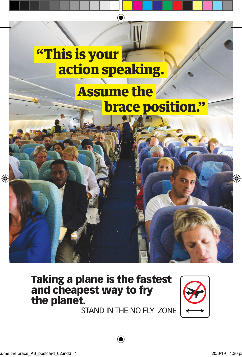

## Taking a plane is the fastest and cheapest way to fry the planet.

STAND IN THE NO FLY ZONE